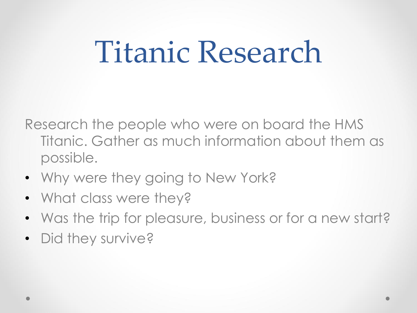### Titanic Research

Research the people who were on board the HMS Titanic. Gather as much information about them as possible.

- Why were they going to New York?
- What class were they?
- Was the trip for pleasure, business or for a new start?
- Did they survive?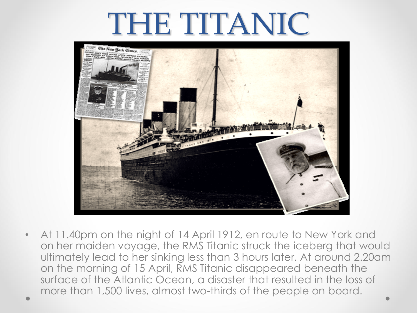#### THE TITANIC



• At 11.40pm on the night of 14 April 1912, en route to New York and on her maiden voyage, the RMS Titanic struck the iceberg that would ultimately lead to her sinking less than 3 hours later. At around 2.20am on the morning of 15 April, RMS Titanic disappeared beneath the surface of the Atlantic Ocean, a disaster that resulted in the loss of more than 1,500 lives, almost two-thirds of the people on board.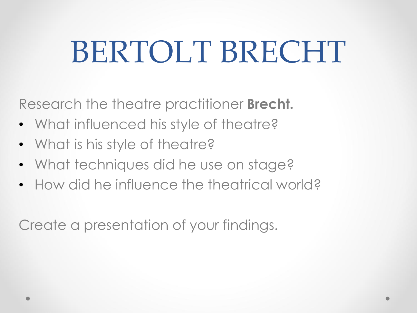### BERTOLT BRECHT

Research the theatre practitioner **Brecht.**

- What influenced his style of theatre?
- What is his style of theatre?
- What techniques did he use on stage?
- How did he influence the theatrical world?

Create a presentation of your findings.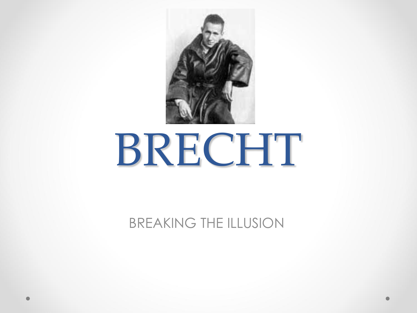

# BRECHT

BREAKING THE ILLUSION